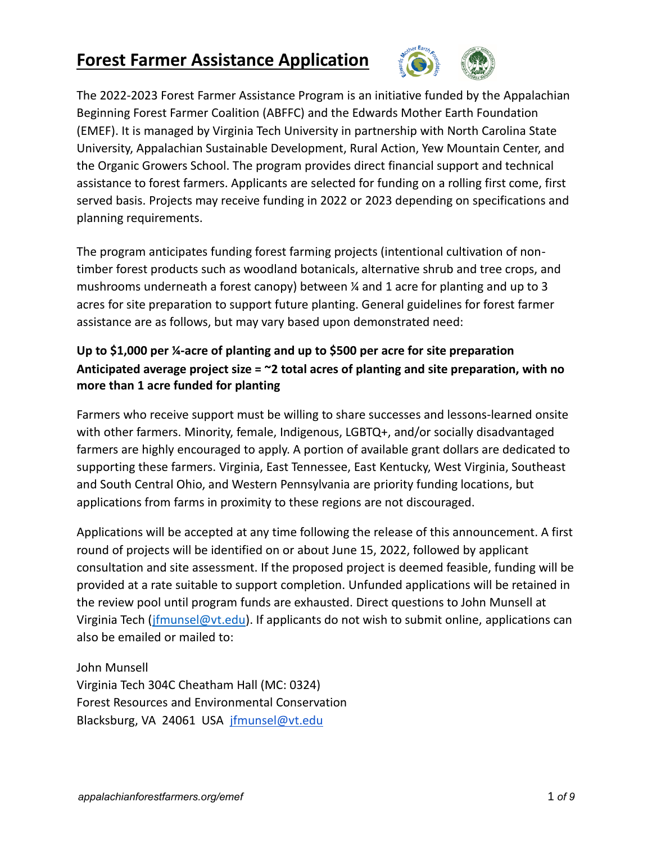## **Forest Farmer Assistance Application**



The 2022-2023 Forest Farmer Assistance Program is an initiative funded by the Appalachian Beginning Forest Farmer Coalition (ABFFC) and the Edwards Mother Earth Foundation (EMEF). It is managed by Virginia Tech University in partnership with North Carolina State University, Appalachian Sustainable Development, Rural Action, Yew Mountain Center, and the Organic Growers School. The program provides direct financial support and technical assistance to forest farmers. Applicants are selected for funding on a rolling first come, first served basis. Projects may receive funding in 2022 or 2023 depending on specifications and planning requirements.

The program anticipates funding forest farming projects (intentional cultivation of nontimber forest products such as woodland botanicals, alternative shrub and tree crops, and mushrooms underneath a forest canopy) between ¼ and 1 acre for planting and up to 3 acres for site preparation to support future planting. General guidelines for forest farmer assistance are as follows, but may vary based upon demonstrated need:

#### **Up to \$1,000 per ¼-acre of planting and up to \$500 per acre for site preparation Anticipated average project size = ~2 total acres of planting and site preparation, with no more than 1 acre funded for planting**

Farmers who receive support must be willing to share successes and lessons-learned onsite with other farmers. Minority, female, Indigenous, LGBTQ+, and/or socially disadvantaged farmers are highly encouraged to apply. A portion of available grant dollars are dedicated to supporting these farmers. Virginia, East Tennessee, East Kentucky, West Virginia, Southeast and South Central Ohio, and Western Pennsylvania are priority funding locations, but applications from farms in proximity to these regions are not discouraged.

Applications will be accepted at any time following the release of this announcement. A first round of projects will be identified on or about June 15, 2022, followed by applicant consultation and site assessment. If the proposed project is deemed feasible, funding will be provided at a rate suitable to support completion. Unfunded applications will be retained in the review pool until program funds are exhausted. Direct questions to John Munsell at Virginia Tech (*jfmunsel@vt.edu*). If applicants do not wish to submit online, applications can also be emailed or mailed to:

John Munsell Virginia Tech 304C Cheatham Hall (MC: 0324) Forest Resources and Environmental Conservation Blacksburg, VA 24061 USA [jfmunsel@vt.edu](mailto:jfmunsel@vt.edu)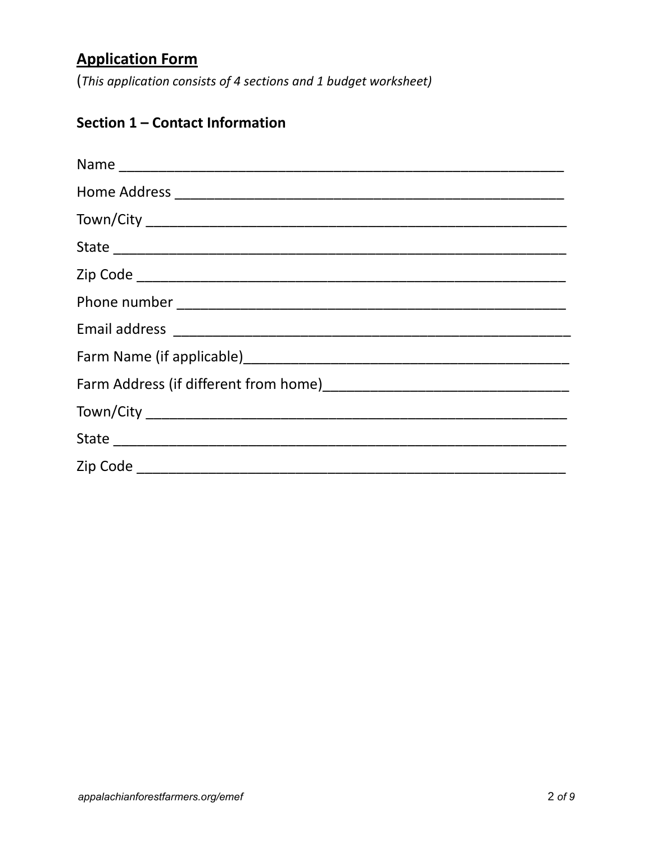# **Application Form**

(This application consists of 4 sections and 1 budget worksheet)

## Section 1 - Contact Information

| Zip Code ______________ |
|-------------------------|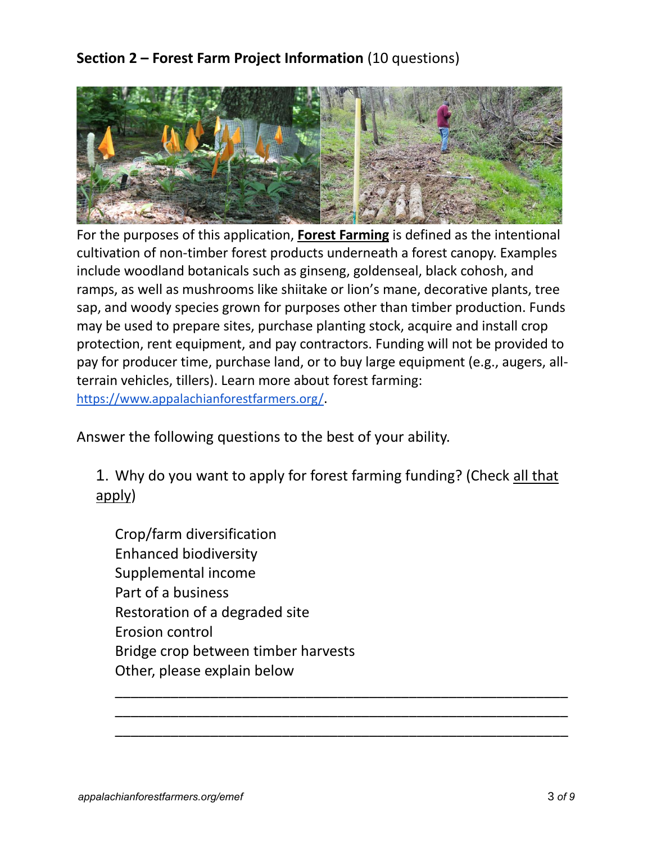### **Section 2 – Forest Farm Project Information** (10 questions)



For the purposes of this application, **Forest Farming** is defined as the intentional cultivation of non-timber forest products underneath a forest canopy. Examples include woodland botanicals such as ginseng, goldenseal, black cohosh, and ramps, as well as mushrooms like shiitake or lion's mane, decorative plants, tree sap, and woody species grown for purposes other than timber production. Funds may be used to prepare sites, purchase planting stock, acquire and install crop protection, rent equipment, and pay contractors. Funding will not be provided to pay for producer time, purchase land, or to buy large equipment (e.g., augers, allterrain vehicles, tillers). Learn more about forest farming: <https://www.appalachianforestfarmers.org/>.

Answer the following questions to the best of your ability.

1. Why do you want to apply for forest farming funding? (Check all that apply)

\_\_\_\_\_\_\_\_\_\_\_\_\_\_\_\_\_\_\_\_\_\_\_\_\_\_\_\_\_\_\_\_\_\_\_\_\_\_\_\_\_\_\_\_\_\_\_\_\_\_\_\_\_\_\_\_\_ \_\_\_\_\_\_\_\_\_\_\_\_\_\_\_\_\_\_\_\_\_\_\_\_\_\_\_\_\_\_\_\_\_\_\_\_\_\_\_\_\_\_\_\_\_\_\_\_\_\_\_\_\_\_\_\_\_ \_\_\_\_\_\_\_\_\_\_\_\_\_\_\_\_\_\_\_\_\_\_\_\_\_\_\_\_\_\_\_\_\_\_\_\_\_\_\_\_\_\_\_\_\_\_\_\_\_\_\_\_\_\_\_\_\_

Crop/farm diversification Enhanced biodiversity Supplemental income Part of a business Restoration of a degraded site Erosion control Bridge crop between timber harvests Other, please explain below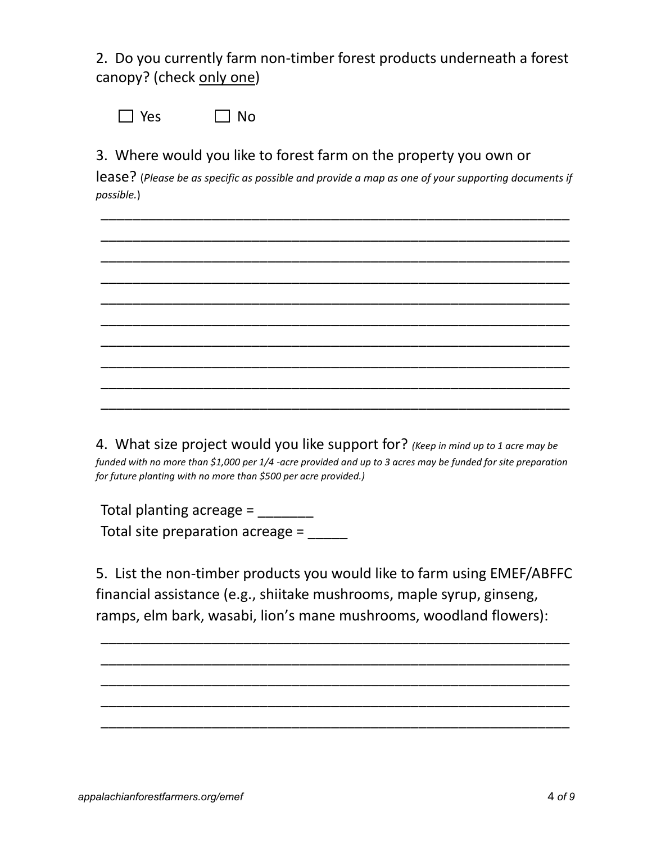2. Do you currently farm non-timber forest products underneath a forest canopy? (check only one)

 $\Box$  Yes  $\Box$  No

3. Where would you like to forest farm on the property you own or

lease? (*Please be as specific as possible and provide a map as one of your supporting documents if possible.*)

\_\_\_\_\_\_\_\_\_\_\_\_\_\_\_\_\_\_\_\_\_\_\_\_\_\_\_\_\_\_\_\_\_\_\_\_\_\_\_\_\_\_\_\_\_\_\_\_\_\_\_\_\_\_\_\_\_\_\_ \_\_\_\_\_\_\_\_\_\_\_\_\_\_\_\_\_\_\_\_\_\_\_\_\_\_\_\_\_\_\_\_\_\_\_\_\_\_\_\_\_\_\_\_\_\_\_\_\_\_\_\_\_\_\_\_\_\_\_ \_\_\_\_\_\_\_\_\_\_\_\_\_\_\_\_\_\_\_\_\_\_\_\_\_\_\_\_\_\_\_\_\_\_\_\_\_\_\_\_\_\_\_\_\_\_\_\_\_\_\_\_\_\_\_\_\_\_\_ \_\_\_\_\_\_\_\_\_\_\_\_\_\_\_\_\_\_\_\_\_\_\_\_\_\_\_\_\_\_\_\_\_\_\_\_\_\_\_\_\_\_\_\_\_\_\_\_\_\_\_\_\_\_\_\_\_\_\_ \_\_\_\_\_\_\_\_\_\_\_\_\_\_\_\_\_\_\_\_\_\_\_\_\_\_\_\_\_\_\_\_\_\_\_\_\_\_\_\_\_\_\_\_\_\_\_\_\_\_\_\_\_\_\_\_\_\_\_ \_\_\_\_\_\_\_\_\_\_\_\_\_\_\_\_\_\_\_\_\_\_\_\_\_\_\_\_\_\_\_\_\_\_\_\_\_\_\_\_\_\_\_\_\_\_\_\_\_\_\_\_\_\_\_\_\_\_\_ \_\_\_\_\_\_\_\_\_\_\_\_\_\_\_\_\_\_\_\_\_\_\_\_\_\_\_\_\_\_\_\_\_\_\_\_\_\_\_\_\_\_\_\_\_\_\_\_\_\_\_\_\_\_\_\_\_\_\_ \_\_\_\_\_\_\_\_\_\_\_\_\_\_\_\_\_\_\_\_\_\_\_\_\_\_\_\_\_\_\_\_\_\_\_\_\_\_\_\_\_\_\_\_\_\_\_\_\_\_\_\_\_\_\_\_\_\_\_ \_\_\_\_\_\_\_\_\_\_\_\_\_\_\_\_\_\_\_\_\_\_\_\_\_\_\_\_\_\_\_\_\_\_\_\_\_\_\_\_\_\_\_\_\_\_\_\_\_\_\_\_\_\_\_\_\_\_\_ \_\_\_\_\_\_\_\_\_\_\_\_\_\_\_\_\_\_\_\_\_\_\_\_\_\_\_\_\_\_\_\_\_\_\_\_\_\_\_\_\_\_\_\_\_\_\_\_\_\_\_\_\_\_\_\_\_\_\_

4. What size project would you like support for? *(Keep in mind up to 1 acre may be funded with no more than \$1,000 per 1/4 -acre provided and up to 3 acres may be funded for site preparation for future planting with no more than \$500 per acre provided.)*

Total planting acreage = Total site preparation acreage =

5. List the non-timber products you would like to farm using EMEF/ABFFC financial assistance (e.g., shiitake mushrooms, maple syrup, ginseng, ramps, elm bark, wasabi, lion's mane mushrooms, woodland flowers):

\_\_\_\_\_\_\_\_\_\_\_\_\_\_\_\_\_\_\_\_\_\_\_\_\_\_\_\_\_\_\_\_\_\_\_\_\_\_\_\_\_\_\_\_\_\_\_\_\_\_\_\_\_\_\_\_\_\_\_ \_\_\_\_\_\_\_\_\_\_\_\_\_\_\_\_\_\_\_\_\_\_\_\_\_\_\_\_\_\_\_\_\_\_\_\_\_\_\_\_\_\_\_\_\_\_\_\_\_\_\_\_\_\_\_\_\_\_\_ \_\_\_\_\_\_\_\_\_\_\_\_\_\_\_\_\_\_\_\_\_\_\_\_\_\_\_\_\_\_\_\_\_\_\_\_\_\_\_\_\_\_\_\_\_\_\_\_\_\_\_\_\_\_\_\_\_\_\_ \_\_\_\_\_\_\_\_\_\_\_\_\_\_\_\_\_\_\_\_\_\_\_\_\_\_\_\_\_\_\_\_\_\_\_\_\_\_\_\_\_\_\_\_\_\_\_\_\_\_\_\_\_\_\_\_\_\_\_ \_\_\_\_\_\_\_\_\_\_\_\_\_\_\_\_\_\_\_\_\_\_\_\_\_\_\_\_\_\_\_\_\_\_\_\_\_\_\_\_\_\_\_\_\_\_\_\_\_\_\_\_\_\_\_\_\_\_\_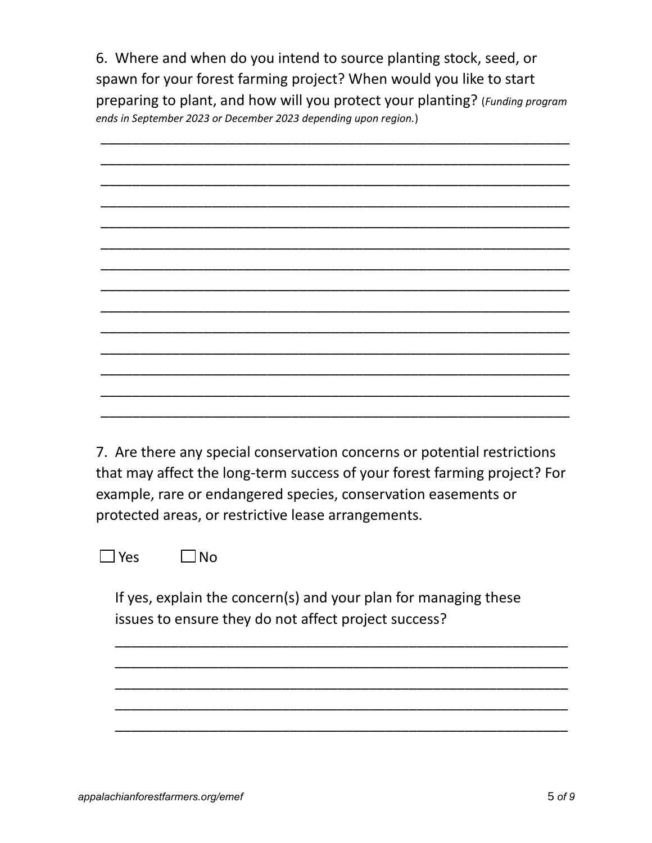6. Where and when do you intend to source planting stock, seed, or spawn for your forest farming project? When would you like to start preparing to plant, and how will you protect your planting? (*Funding program ends in September 2023 or December 2023 depending upon region.*)



7. Are there any special conservation concerns or potential restrictions that may affect the long-term success of your forest farming project? For example, rare or endangered species, conservation easements or protected areas, or restrictive lease arrangements.

 $\Box$  Yes  $\Box$  No

If yes, explain the concern(s) and your plan for managing these issues to ensure they do not affect project success?

\_\_\_\_\_\_\_\_\_\_\_\_\_\_\_\_\_\_\_\_\_\_\_\_\_\_\_\_\_\_\_\_\_\_\_\_\_\_\_\_\_\_\_\_\_\_\_\_\_\_\_\_\_\_\_\_\_ \_\_\_\_\_\_\_\_\_\_\_\_\_\_\_\_\_\_\_\_\_\_\_\_\_\_\_\_\_\_\_\_\_\_\_\_\_\_\_\_\_\_\_\_\_\_\_\_\_\_\_\_\_\_\_\_\_ \_\_\_\_\_\_\_\_\_\_\_\_\_\_\_\_\_\_\_\_\_\_\_\_\_\_\_\_\_\_\_\_\_\_\_\_\_\_\_\_\_\_\_\_\_\_\_\_\_\_\_\_\_\_\_\_\_ \_\_\_\_\_\_\_\_\_\_\_\_\_\_\_\_\_\_\_\_\_\_\_\_\_\_\_\_\_\_\_\_\_\_\_\_\_\_\_\_\_\_\_\_\_\_\_\_\_\_\_\_\_\_\_\_\_ \_\_\_\_\_\_\_\_\_\_\_\_\_\_\_\_\_\_\_\_\_\_\_\_\_\_\_\_\_\_\_\_\_\_\_\_\_\_\_\_\_\_\_\_\_\_\_\_\_\_\_\_\_\_\_\_\_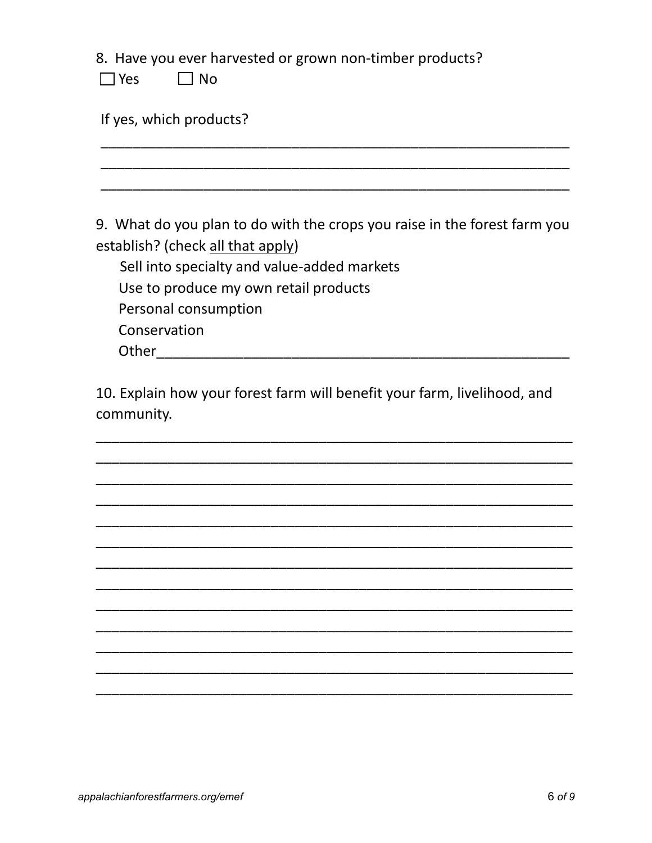8. Have you ever harvested or grown non-timber products?

| ے ہ | Nο |
|-----|----|
|-----|----|

If yes, which products?

9. What do you plan to do with the crops you raise in the forest farm you establish? (check all that apply)

Sell into specialty and value-added markets Use to produce my own retail products Personal consumption Conservation 

10. Explain how your forest farm will benefit your farm, livelihood, and community.

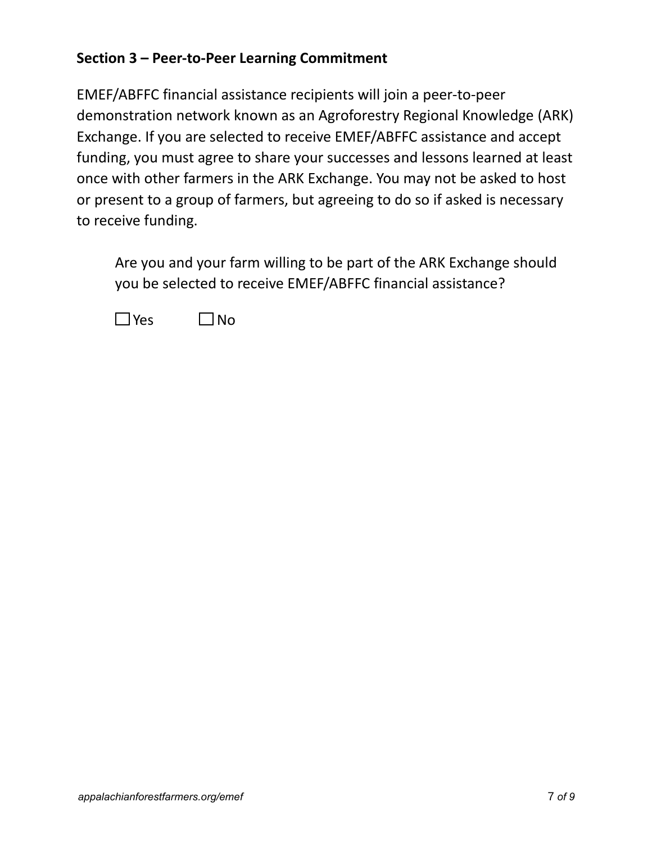#### **Section 3 – Peer-to-Peer Learning Commitment**

EMEF/ABFFC financial assistance recipients will join a peer-to-peer demonstration network known as an Agroforestry Regional Knowledge (ARK) Exchange. If you are selected to receive EMEF/ABFFC assistance and accept funding, you must agree to share your successes and lessons learned at least once with other farmers in the ARK Exchange. You may not be asked to host or present to a group of farmers, but agreeing to do so if asked is necessary to receive funding.

Are you and your farm willing to be part of the ARK Exchange should you be selected to receive EMEF/ABFFC financial assistance?

 $\Box$ Yes  $\Box$ No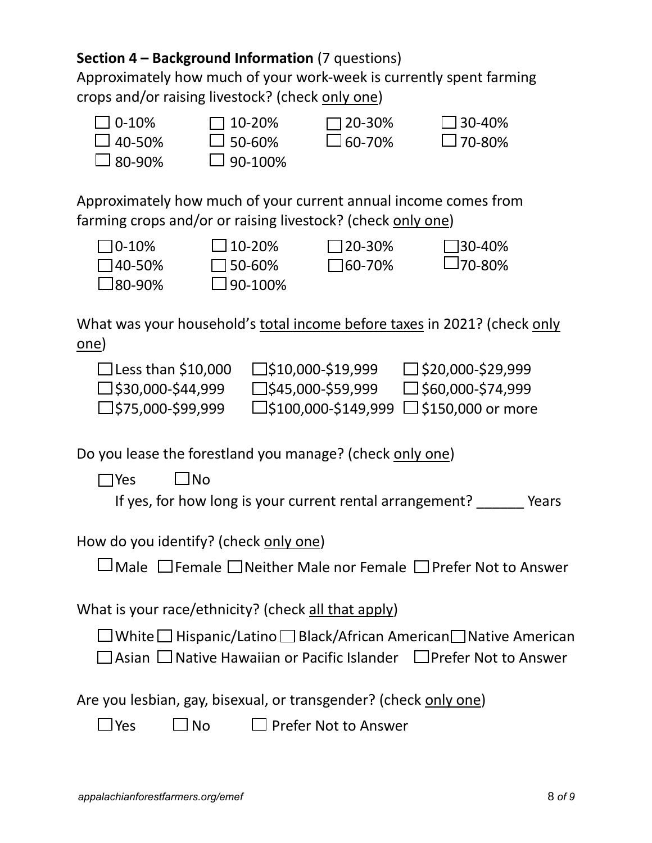### **Section 4 – Background Information** (7 questions)

Approximately how much of your work-week is currently spent farming crops and/or raising livestock? (check only one)



Approximately how much of your current annual income comes from farming crops and/or or raising livestock? (check only one)



What was your household's total income before taxes in 2021? (check only one)

| $\Box$ Less than \$10,000   | $\square$ \$10,000-\$19,999                         | $\Box$ \$20,000-\$29,999 |
|-----------------------------|-----------------------------------------------------|--------------------------|
| $\square$ \$30,000-\$44,999 | $\square$ \$45,000-\$59,999                         | $\Box$ \$60,000-\$74,999 |
| $\square$ \$75,000-\$99,999 | $\Box$ \$100,000-\$149,999 $\Box$ \$150,000 or more |                          |

Do you lease the forestland you manage? (check only one)

 $\Box$ Yes  $\Box$ No

If yes, for how long is your current rental arrangement? Pears

How do you identify? (check only one)

 $\Box$  Male  $\Box$  Female  $\Box$  Neither Male nor Female  $\Box$  Prefer Not to Answer

What is your race/ethnicity? (check all that apply)

 $\Box$  White  $\Box$  Hispanic/Latino  $\Box$  Black/African American  $\Box$  Native American  $\Box$  Asian  $\Box$  Native Hawaiian or Pacific Islander  $\Box$  Prefer Not to Answer

Are you lesbian, gay, bisexual, or transgender? (check only one)

 $\Box$  Yes  $\Box$  No  $\Box$  Prefer Not to Answer